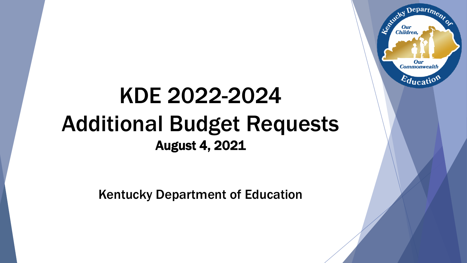# KDE 2022-2024 Additional Budget Requests August 4, 2021

Kentucky Department of Education

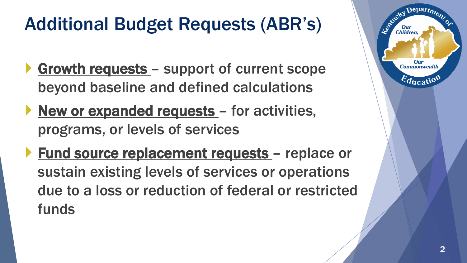### Additional Budget Requests (ABR's)

- Growth requests support of current scope beyond baseline and defined calculations
- New or expanded requests for activities, programs, or levels of services
- **Fund source replacement requests** replace or sustain existing levels of services or operations due to a loss or reduction of federal or restricted funds

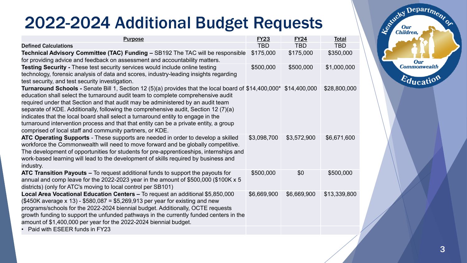#### 2022-2024 Additional Budget Requests

| <b>Purpose</b>                                                                                                                                                                                                                                                                                                                                                                                                                                                                                                                                                                                                           | <b>FY23</b> | <b>FY24</b> | <b>Total</b> |
|--------------------------------------------------------------------------------------------------------------------------------------------------------------------------------------------------------------------------------------------------------------------------------------------------------------------------------------------------------------------------------------------------------------------------------------------------------------------------------------------------------------------------------------------------------------------------------------------------------------------------|-------------|-------------|--------------|
| <b>Defined Calculations</b>                                                                                                                                                                                                                                                                                                                                                                                                                                                                                                                                                                                              | <b>TBD</b>  | <b>TBD</b>  | <b>TBD</b>   |
| Technical Advisory Committee (TAC) Funding - SB192 The TAC will be responsible<br>for providing advice and feedback on assessment and accountability matters.                                                                                                                                                                                                                                                                                                                                                                                                                                                            | \$175,000   | \$175,000   | \$350,000    |
| Testing Security - These test security services would include online testing<br>technology, forensic analysis of data and scores, industry-leading insights regarding<br>test security, and test security investigation.                                                                                                                                                                                                                                                                                                                                                                                                 | \$500,000   | \$500,000   | \$1,000,000  |
| Turnaround Schools - Senate Bill 1, Section 12 (5)(a) provides that the local board of \$14,400,000* \$14,400,000<br>education shall select the turnaround audit team to complete comprehensive audit<br>required under that Section and that audit may be administered by an audit team<br>separate of KDE. Additionally, following the comprehensive audit, Section 12 (7)(a)<br>indicates that the local board shall select a turnaround entity to engage in the<br>turnaround intervention process and that that entity can be a private entity, a group<br>comprised of local staff and community partners, or KDE. |             |             | \$28,800,000 |
| ATC Operating Supports - These supports are needed in order to develop a skilled<br>workforce the Commonwealth will need to move forward and be globally competitive.<br>The development of opportunities for students for pre-apprenticeships, internships and<br>work-based learning will lead to the development of skills required by business and<br>industry.                                                                                                                                                                                                                                                      | \$3,098,700 | \$3,572,900 | \$6,671,600  |
| ATC Transition Payouts - To request additional funds to support the payouts for<br>annual and comp leave for the 2022-2023 year in the amount of \$500,000 (\$100K $x 5$<br>districts) (only for ATC's moving to local control per SB101)                                                                                                                                                                                                                                                                                                                                                                                | \$500,000   | \$0         | \$500,000    |
| Local Area Vocational Education Centers - To request an additional \$5,850,000<br>$($450K$ average x 13) - \$580,087 = \$5,269,913 per year for existing and new<br>programs/schools for the 2022-2024 biennial budget. Additionally, OCTE requests<br>growth funding to support the unfunded pathways in the currently funded centers in the<br>amount of \$1,400,000 per year for the 2022-2024 biennial budget.                                                                                                                                                                                                       | \$6,669,900 | \$6,669,900 | \$13,339,800 |
| • Paid with ESEER funds in FY23                                                                                                                                                                                                                                                                                                                                                                                                                                                                                                                                                                                          |             |             |              |

J Departmenton Estrucky D Our<br>Children, Our **Commonwealth** Education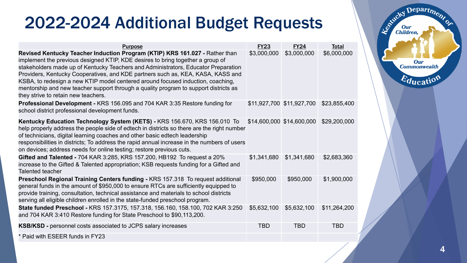#### 2022-2024 Additional Budget Requests

| <b>Purpose</b>                                                                                                                                                                                                                                                                                                                                                                                                                                                                                                                                           | <b>FY23</b> | <b>FY24</b>               | <b>Total</b> |
|----------------------------------------------------------------------------------------------------------------------------------------------------------------------------------------------------------------------------------------------------------------------------------------------------------------------------------------------------------------------------------------------------------------------------------------------------------------------------------------------------------------------------------------------------------|-------------|---------------------------|--------------|
| Revised Kentucky Teacher Induction Program (KTIP) KRS 161.027 - Rather than<br>implement the previous designed KTIP, KDE desires to bring together a group of<br>stakeholders made up of Kentucky Teachers and Administrators, Educator Preparation<br>Providers, Kentucky Cooperatives, and KDE partners such as, KEA, KASA, KASS and<br>KSBA, to redesign a new KTIP model centered around focused induction, coaching,<br>mentorship and new teacher support through a quality program to support districts as<br>they strive to retain new teachers. | \$3,000,000 | \$3,000,000               | \$6,000,000  |
| <b>Professional Development - KRS 156.095 and 704 KAR 3:35 Restore funding for</b><br>school district professional development funds.                                                                                                                                                                                                                                                                                                                                                                                                                    |             | \$11,927,700 \$11,927,700 | \$23,855,400 |
| Kentucky Education Technology System (KETS) - KRS 156.670, KRS 156.010 To<br>help properly address the people side of edtech in districts so there are the right number<br>of technicians, digital learning coaches and other basic edtech leadership<br>responsibilities in districts; To address the rapid annual increase in the numbers of users<br>on devices; address needs for online testing; restore previous cuts.                                                                                                                             |             | \$14,600,000 \$14,600,000 | \$29,200,000 |
| Gifted and Talented - 704 KAR 3:285, KRS 157.200, HB192 To request a 20%<br>increase to the Gifted & Talented appropriation; KSB requests funding for a Gifted and<br><b>Talented teacher</b>                                                                                                                                                                                                                                                                                                                                                            | \$1,341,680 | \$1,341,680               | \$2,683,360  |
| Preschool Regional Training Centers funding - KRS 157.318 To request additional<br>general funds in the amount of \$950,000 to ensure RTCs are sufficiently equipped to<br>provide training, consultation, technical assistance and materials to school districts<br>serving all eligible children enrolled in the state-funded preschool program.                                                                                                                                                                                                       | \$950,000   | \$950,000                 | \$1,900,000  |
| State funded Preschool - KRS 157.3175, 157.318, 156.160, 158.100, 702 KAR 3:250<br>and 704 KAR 3:410 Restore funding for State Preschool to \$90,113,200.                                                                                                                                                                                                                                                                                                                                                                                                | \$5,632,100 | \$5,632,100               | \$11,264,200 |
| <b>KSB/KSD</b> - personnel costs associated to JCPS salary increases                                                                                                                                                                                                                                                                                                                                                                                                                                                                                     | <b>TBD</b>  | <b>TBD</b>                | <b>TBD</b>   |
| * Paid with ESEER funds in FY23                                                                                                                                                                                                                                                                                                                                                                                                                                                                                                                          |             |                           |              |

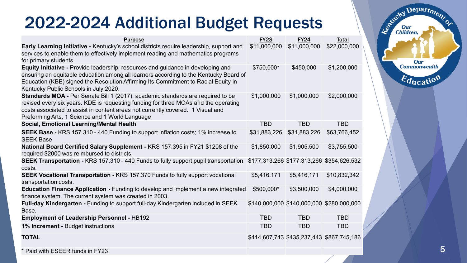#### 2022-2024 Additional Budget Requests

| <b>Purpose</b>                                                                                                                                                                                                                                                                                                      | <b>FY23</b>  | <b>FY24</b>  | <b>Total</b>                              |
|---------------------------------------------------------------------------------------------------------------------------------------------------------------------------------------------------------------------------------------------------------------------------------------------------------------------|--------------|--------------|-------------------------------------------|
| Early Learning Initiative - Kentucky's school districts require leadership, support and<br>services to enable them to effectively implement reading and mathematics programs<br>for primary students.                                                                                                               | \$11,000,000 | \$11,000,000 | \$22,000,000                              |
| <b>Equity Initiative - Provide leadership, resources and guidance in developing and</b><br>ensuring an equitable education among all learners according to the Kentucky Board of<br>Education (KBE) signed the Resolution Affirming Its Commitment to Racial Equity in<br>Kentucky Public Schools in July 2020.     | \$750,000*   | \$450,000    | \$1,200,000                               |
| <b>Standards MOA - Per Senate Bill 1 (2017), academic standards are required to be</b><br>revised every six years. KDE is requesting funding for three MOAs and the operating<br>costs associated to assist in content areas not currently covered. 1 Visual and<br>Preforming Arts, 1 Science and 1 World Language | \$1,000,000  | \$1,000,000  | \$2,000,000                               |
| Social, Emotional Learning/Mental Health                                                                                                                                                                                                                                                                            | <b>TBD</b>   | <b>TBD</b>   | <b>TBD</b>                                |
| <b>SEEK Base - KRS 157.310 - 440 Funding to support inflation costs; 1% increase to</b><br><b>SEEK Base</b>                                                                                                                                                                                                         | \$31,883,226 | \$31,883,226 | \$63,766,452                              |
| National Board Certified Salary Supplement - KRS 157.395 in FY21 \$1208 of the<br>required \$2000 was reimbursed to districts.                                                                                                                                                                                      | \$1,850,000  | \$1,905,500  | \$3,755,500                               |
| <b>SEEK Transportation - KRS 157.310 - 440 Funds to fully support pupil transportation</b><br>costs.                                                                                                                                                                                                                |              |              | \$177,313,266 \$177,313,266 \$354,626,532 |
| <b>SEEK Vocational Transportation - KRS 157.370 Funds to fully support vocational</b><br>transportation costs.                                                                                                                                                                                                      | \$5,416,171  | \$5,416,171  | \$10,832,342                              |
| <b>Education Finance Application - Funding to develop and implement a new integrated</b><br>finance system. The current system was created in 2003.                                                                                                                                                                 | \$500,000*   | \$3,500,000  | \$4,000,000                               |
| Full-day Kindergarten - Funding to support full-day Kindergarten included in SEEK<br>Base.                                                                                                                                                                                                                          |              |              | \$140,000,000 \$140,000,000 \$280,000,000 |
| <b>Employment of Leadership Personnel - HB192</b>                                                                                                                                                                                                                                                                   | <b>TBD</b>   | <b>TBD</b>   | <b>TBD</b>                                |
| 1% Increment - Budget instructions                                                                                                                                                                                                                                                                                  | <b>TBD</b>   | <b>TBD</b>   | <b>TBD</b>                                |
| <b>TOTAL</b>                                                                                                                                                                                                                                                                                                        |              |              | \$414,607,743 \$435,237,443 \$867,745,186 |

\* Paid with ESEER funds in FY23